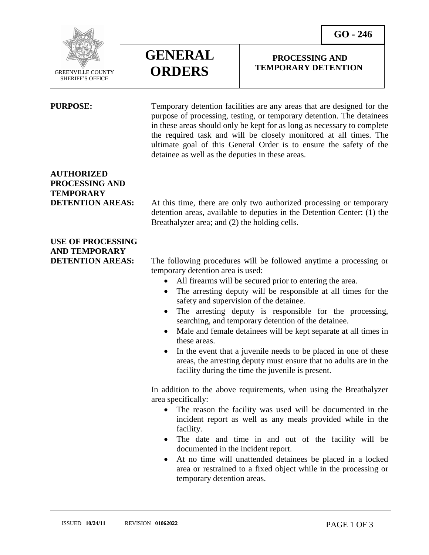



# **GENERAL ORDERS**

#### **PROCESSING AND TEMPORARY DETENTION**

 $\overline{a}$ 

**PURPOSE:** Temporary detention facilities are any areas that are designed for the purpose of processing, testing, or temporary detention. The detainees in these areas should only be kept for as long as necessary to complete the required task and will be closely monitored at all times. The ultimate goal of this General Order is to ensure the safety of the detainee as well as the deputies in these areas.

#### **AUTHORIZED PROCESSING AND TEMPORARY**

**DETENTION AREAS:** At this time, there are only two authorized processing or temporary detention areas, available to deputies in the Detention Center: (1) the Breathalyzer area; and (2) the holding cells.

## **USE OF PROCESSING AND TEMPORARY**

**DETENTION AREAS:** The following procedures will be followed anytime a processing or temporary detention area is used:

- All firearms will be secured prior to entering the area.
- The arresting deputy will be responsible at all times for the safety and supervision of the detainee.
- The arresting deputy is responsible for the processing, searching, and temporary detention of the detainee.
- Male and female detainees will be kept separate at all times in these areas.
- In the event that a juvenile needs to be placed in one of these areas, the arresting deputy must ensure that no adults are in the facility during the time the juvenile is present.

In addition to the above requirements, when using the Breathalyzer area specifically:

- The reason the facility was used will be documented in the incident report as well as any meals provided while in the facility.
- The date and time in and out of the facility will be documented in the incident report.
- At no time will unattended detainees be placed in a locked area or restrained to a fixed object while in the processing or temporary detention areas.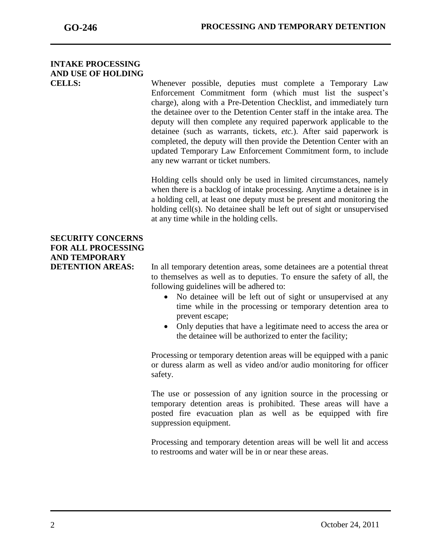j

## **INTAKE PROCESSING AND USE OF HOLDING**

**CELLS:** Whenever possible, deputies must complete a Temporary Law Enforcement Commitment form (which must list the suspect's charge), along with a Pre-Detention Checklist, and immediately turn the detainee over to the Detention Center staff in the intake area. The deputy will then complete any required paperwork applicable to the detainee (such as warrants, tickets, *etc.*). After said paperwork is completed, the deputy will then provide the Detention Center with an updated Temporary Law Enforcement Commitment form, to include any new warrant or ticket numbers.

> Holding cells should only be used in limited circumstances, namely when there is a backlog of intake processing. Anytime a detainee is in a holding cell, at least one deputy must be present and monitoring the holding cell(s). No detainee shall be left out of sight or unsupervised at any time while in the holding cells.

### **SECURITY CONCERNS FOR ALL PROCESSING AND TEMPORARY**

**DETENTION AREAS:** In all temporary detention areas, some detainees are a potential threat to themselves as well as to deputies. To ensure the safety of all, the following guidelines will be adhered to:

- No detainee will be left out of sight or unsupervised at any time while in the processing or temporary detention area to prevent escape;
- Only deputies that have a legitimate need to access the area or the detainee will be authorized to enter the facility;

Processing or temporary detention areas will be equipped with a panic or duress alarm as well as video and/or audio monitoring for officer safety.

The use or possession of any ignition source in the processing or temporary detention areas is prohibited. These areas will have a posted fire evacuation plan as well as be equipped with fire suppression equipment.

Processing and temporary detention areas will be well lit and access to restrooms and water will be in or near these areas.